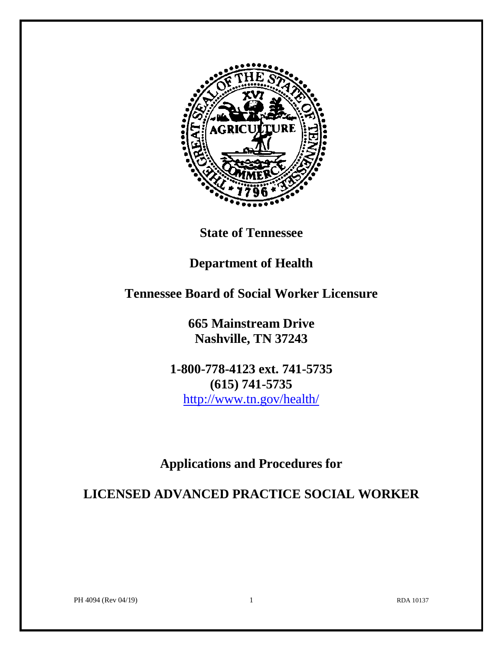

**State of Tennessee**

# **Department of Health**

# **Tennessee Board of Social Worker Licensure**

**665 Mainstream Drive Nashville, TN 37243**

**1-800-778-4123 ext. 741-5735 (615) 741-5735** <http://www.tn.gov/health/>

# **Applications and Procedures for**

**LICENSED ADVANCED PRACTICE SOCIAL WORKER**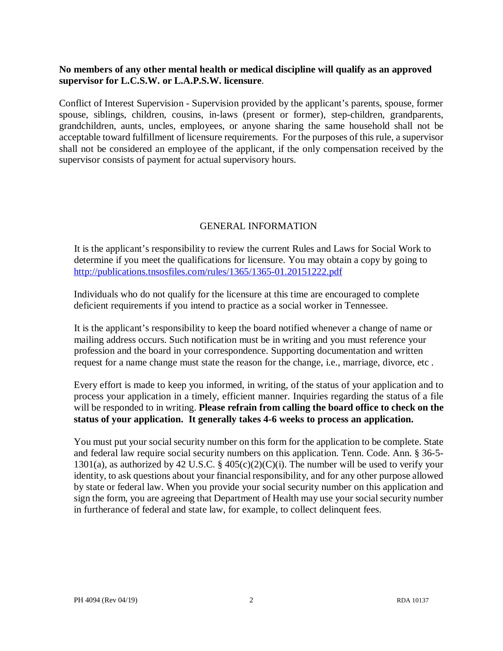## **No members of any other mental health or medical discipline will qualify as an approved supervisor for L.C.S.W. or L.A.P.S.W. licensure**.

Conflict of Interest Supervision - Supervision provided by the applicant's parents, spouse, former spouse, siblings, children, cousins, in-laws (present or former), step-children, grandparents, grandchildren, aunts, uncles, employees, or anyone sharing the same household shall not be acceptable toward fulfillment of licensure requirements. For the purposes of this rule, a supervisor shall not be considered an employee of the applicant, if the only compensation received by the supervisor consists of payment for actual supervisory hours.

## GENERAL INFORMATION

 It is the applicant's responsibility to review the current Rules and Laws for Social Work to determine if you meet the qualifications for licensure. You may obtain a copy by going to <http://publications.tnsosfiles.com/rules/1365/1365-01.20151222.pdf>

Individuals who do not qualify for the licensure at this time are encouraged to complete deficient requirements if you intend to practice as a social worker in Tennessee.

 It is the applicant's responsibility to keep the board notified whenever a change of name or mailing address occurs. Such notification must be in writing and you must reference your profession and the board in your correspondence. Supporting documentation and written request for a name change must state the reason for the change, i.e., marriage, divorce, etc .

Every effort is made to keep you informed, in writing, of the status of your application and to process your application in a timely, efficient manner. Inquiries regarding the status of a file will be responded to in writing. **Please refrain from calling the board office to check on the status of your application. It generally takes 4-6 weeks to process an application.**

You must put your social security number on this form for the application to be complete. State and federal law require social security numbers on this application. Tenn. Code. Ann. § 36-5- 1301(a), as authorized by 42 U.S.C. § 405(c)(2)(C)(i). The number will be used to verify your identity, to ask questions about your financial responsibility, and for any other purpose allowed by state or federal law. When you provide your social security number on this application and sign the form, you are agreeing that Department of Health may use your social security number in furtherance of federal and state law, for example, to collect delinquent fees.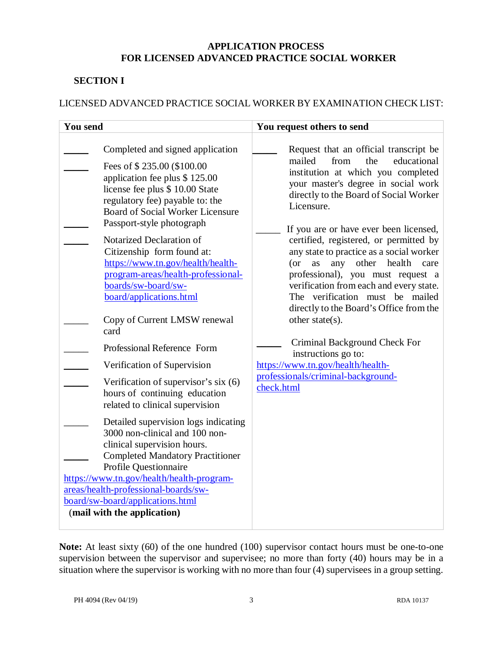## **APPLICATION PROCESS FOR LICENSED ADVANCED PRACTICE SOCIAL WORKER**

## **SECTION I**

## LICENSED ADVANCED PRACTICE SOCIAL WORKER BY EXAMINATION CHECK LIST:

| <b>You send</b>                                                                                                                                                                                                                                                                                                                                                                                                                                                                                                                                                                                                                                                                                                                                                                                                                                                                                                                                                                              | You request others to send                                                                                                                                                                                                                                                                                                                                                                                                                                                                                                                                                                                                                                                                                                              |  |  |  |
|----------------------------------------------------------------------------------------------------------------------------------------------------------------------------------------------------------------------------------------------------------------------------------------------------------------------------------------------------------------------------------------------------------------------------------------------------------------------------------------------------------------------------------------------------------------------------------------------------------------------------------------------------------------------------------------------------------------------------------------------------------------------------------------------------------------------------------------------------------------------------------------------------------------------------------------------------------------------------------------------|-----------------------------------------------------------------------------------------------------------------------------------------------------------------------------------------------------------------------------------------------------------------------------------------------------------------------------------------------------------------------------------------------------------------------------------------------------------------------------------------------------------------------------------------------------------------------------------------------------------------------------------------------------------------------------------------------------------------------------------------|--|--|--|
| Completed and signed application<br>Fees of \$235.00 (\$100.00)<br>application fee plus \$125.00<br>license fee plus \$ 10.00 State<br>regulatory fee) payable to: the<br><b>Board of Social Worker Licensure</b><br>Passport-style photograph<br>Notarized Declaration of<br>Citizenship form found at:<br>https://www.tn.gov/health/health-<br>program-areas/health-professional-<br>boards/sw-board/sw-<br>board/applications.html<br>Copy of Current LMSW renewal<br>card<br>Professional Reference Form<br>Verification of Supervision<br>Verification of supervisor's six (6)<br>hours of continuing education<br>related to clinical supervision<br>Detailed supervision logs indicating<br>3000 non-clinical and 100 non-<br>clinical supervision hours.<br><b>Completed Mandatory Practitioner</b><br>Profile Questionnaire<br>https://www.tn.gov/health/health-program-<br>areas/health-professional-boards/sw-<br>board/sw-board/applications.html<br>(mail with the application) | Request that an official transcript be<br>mailed<br>from<br>the<br>educational<br>institution at which you completed<br>your master's degree in social work<br>directly to the Board of Social Worker<br>Licensure.<br>If you are or have ever been licensed,<br>certified, registered, or permitted by<br>any state to practice as a social worker<br>other<br>health<br>$($ or<br>any<br>as<br>care<br>professional), you must request a<br>verification from each and every state.<br>The verification must be mailed<br>directly to the Board's Office from the<br>other state(s).<br>Criminal Background Check For<br>instructions go to:<br>https://www.tn.gov/health/health-<br>professionals/criminal-background-<br>check.html |  |  |  |

**Note:** At least sixty (60) of the one hundred (100) supervisor contact hours must be one-to-one supervision between the supervisor and supervisee; no more than forty (40) hours may be in a situation where the supervisor is working with no more than four (4) supervisees in a group setting.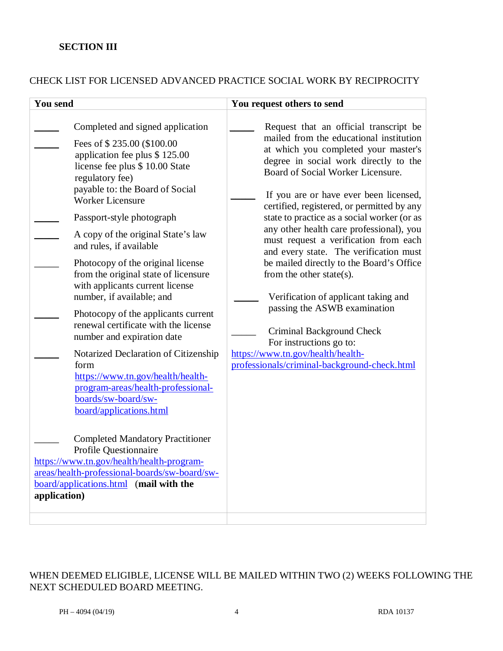## **SECTION III**

## CHECK LIST FOR LICENSED ADVANCED PRACTICE SOCIAL WORK BY RECIPROCITY

| <b>You send</b>                                                                                                                                                                                                                                                                                                                                                                                                                                                                                                                                                                                                                                                                                                                                                                                                                                                                                                                                                                      | You request others to send                                                                                                                                                                                                                                                                                                                                                                                                                                                                                                                                                                                                                                                                                                                                                 |
|--------------------------------------------------------------------------------------------------------------------------------------------------------------------------------------------------------------------------------------------------------------------------------------------------------------------------------------------------------------------------------------------------------------------------------------------------------------------------------------------------------------------------------------------------------------------------------------------------------------------------------------------------------------------------------------------------------------------------------------------------------------------------------------------------------------------------------------------------------------------------------------------------------------------------------------------------------------------------------------|----------------------------------------------------------------------------------------------------------------------------------------------------------------------------------------------------------------------------------------------------------------------------------------------------------------------------------------------------------------------------------------------------------------------------------------------------------------------------------------------------------------------------------------------------------------------------------------------------------------------------------------------------------------------------------------------------------------------------------------------------------------------------|
| Completed and signed application<br>Fees of \$235.00 (\$100.00<br>application fee plus \$125.00<br>license fee plus \$ 10.00 State<br>regulatory fee)<br>payable to: the Board of Social<br><b>Worker Licensure</b><br>Passport-style photograph<br>A copy of the original State's law<br>and rules, if available<br>Photocopy of the original license<br>from the original state of licensure<br>with applicants current license<br>number, if available; and<br>Photocopy of the applicants current<br>renewal certificate with the license<br>number and expiration date<br>Notarized Declaration of Citizenship<br>form<br>https://www.tn.gov/health/health-<br>program-areas/health-professional-<br>boards/sw-board/sw-<br>board/applications.html<br><b>Completed Mandatory Practitioner</b><br>Profile Questionnaire<br>https://www.tn.gov/health/health-program-<br>areas/health-professional-boards/sw-board/sw-<br>board/applications.html (mail with the<br>application) | Request that an official transcript be<br>mailed from the educational institution<br>at which you completed your master's<br>degree in social work directly to the<br>Board of Social Worker Licensure.<br>If you are or have ever been licensed,<br>certified, registered, or permitted by any<br>state to practice as a social worker (or as<br>any other health care professional), you<br>must request a verification from each<br>and every state. The verification must<br>be mailed directly to the Board's Office<br>from the other state(s).<br>Verification of applicant taking and<br>passing the ASWB examination<br>Criminal Background Check<br>For instructions go to:<br>https://www.tn.gov/health/health-<br>professionals/criminal-background-check.html |
|                                                                                                                                                                                                                                                                                                                                                                                                                                                                                                                                                                                                                                                                                                                                                                                                                                                                                                                                                                                      |                                                                                                                                                                                                                                                                                                                                                                                                                                                                                                                                                                                                                                                                                                                                                                            |

WHEN DEEMED ELIGIBLE, LICENSE WILL BE MAILED WITHIN TWO (2) WEEKS FOLLOWING THE NEXT SCHEDULED BOARD MEETING.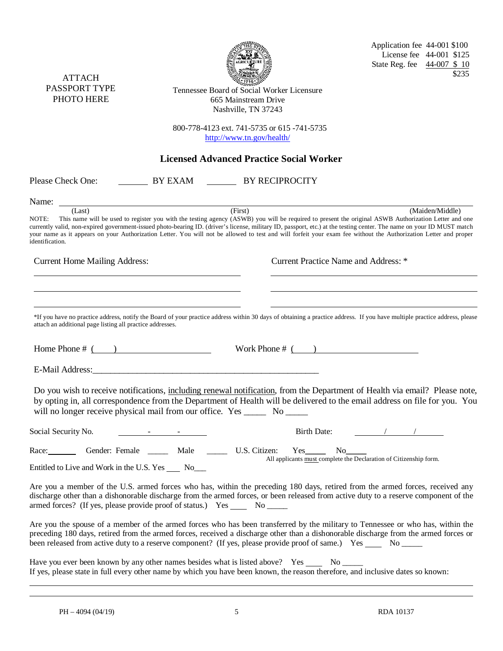| <b>ATTACH</b><br>PASSPORT TYPE<br>PHOTO HERE                                     |                                                         | Tennessee Board of Social Worker Licensure<br>665 Mainstream Drive<br>Nashville, TN 37243                                                                                                                                         | Application fee 44-001 \$100<br>License fee 44-001 \$125<br>State Reg. fee 44-007 \$10<br>\$235                                                                                                                                                                                                                                                                                                                                                                                                                       |
|----------------------------------------------------------------------------------|---------------------------------------------------------|-----------------------------------------------------------------------------------------------------------------------------------------------------------------------------------------------------------------------------------|-----------------------------------------------------------------------------------------------------------------------------------------------------------------------------------------------------------------------------------------------------------------------------------------------------------------------------------------------------------------------------------------------------------------------------------------------------------------------------------------------------------------------|
|                                                                                  |                                                         | 800-778-4123 ext. 741-5735 or 615-741-5735<br>http://www.tn.gov/health/                                                                                                                                                           |                                                                                                                                                                                                                                                                                                                                                                                                                                                                                                                       |
|                                                                                  |                                                         | <b>Licensed Advanced Practice Social Worker</b>                                                                                                                                                                                   |                                                                                                                                                                                                                                                                                                                                                                                                                                                                                                                       |
| Please Check One:                                                                |                                                         | BY EXAM BY RECIPROCITY                                                                                                                                                                                                            |                                                                                                                                                                                                                                                                                                                                                                                                                                                                                                                       |
| Name:<br>(Last)<br>NOTE:<br>identification.                                      | <u> 1980 - Johann Barnett, fransk politik (f. 1980)</u> | (First)                                                                                                                                                                                                                           | (Maiden/Middle)<br>This name will be used to register you with the testing agency (ASWB) you will be required to present the original ASWB Authorization Letter and one<br>currently valid, non-expired government-issued photo-bearing ID. (driver's license, military ID, passport, etc.) at the testing center. The name on your ID MUST match<br>your name as it appears on your Authorization Letter. You will not be allowed to test and will forfeit your exam fee without the Authorization Letter and proper |
| <b>Current Home Mailing Address:</b>                                             |                                                         |                                                                                                                                                                                                                                   | Current Practice Name and Address: *                                                                                                                                                                                                                                                                                                                                                                                                                                                                                  |
| attach an additional page listing all practice addresses.<br>Home Phone $\#$ ( ) |                                                         | Work Phone $\#$ ( )                                                                                                                                                                                                               | *If you have no practice address, notify the Board of your practice address within 30 days of obtaining a practice address. If you have multiple practice address, please<br>Do you wish to receive notifications, including renewal notification, from the Department of Health via email? Please note,<br>by opting in, all correspondence from the Department of Health will be delivered to the email address on file for you. You                                                                                |
| will no longer receive physical mail from our office. Yes _______ No _____       |                                                         |                                                                                                                                                                                                                                   |                                                                                                                                                                                                                                                                                                                                                                                                                                                                                                                       |
| Social Security No.                                                              |                                                         | <b>Birth Date:</b>                                                                                                                                                                                                                |                                                                                                                                                                                                                                                                                                                                                                                                                                                                                                                       |
| Race:<br>Entitled to Live and Work in the U.S. Yes ______ No____                 | Gender: Female ________ Male                            | $\qquad \qquad \qquad \text{U.S. Citizen:}$                                                                                                                                                                                       | No<br>All applicants must complete the Declaration of Citizenship form.                                                                                                                                                                                                                                                                                                                                                                                                                                               |
| armed forces? (If yes, please provide proof of status.) Yes _______ No ______    |                                                         |                                                                                                                                                                                                                                   | Are you a member of the U.S. armed forces who has, within the preceding 180 days, retired from the armed forces, received any<br>discharge other than a dishonorable discharge from the armed forces, or been released from active duty to a reserve component of the                                                                                                                                                                                                                                                 |
|                                                                                  |                                                         | been released from active duty to a reserve component? (If yes, please provide proof of same.) Yes _____ No _____                                                                                                                 | Are you the spouse of a member of the armed forces who has been transferred by the military to Tennessee or who has, within the<br>preceding 180 days, retired from the armed forces, received a discharge other than a dishonorable discharge from the armed forces or                                                                                                                                                                                                                                               |
|                                                                                  |                                                         | Have you ever been known by any other names besides what is listed above? Yes ______ No ______<br>If yes, please state in full every other name by which you have been known, the reason therefore, and inclusive dates so known: |                                                                                                                                                                                                                                                                                                                                                                                                                                                                                                                       |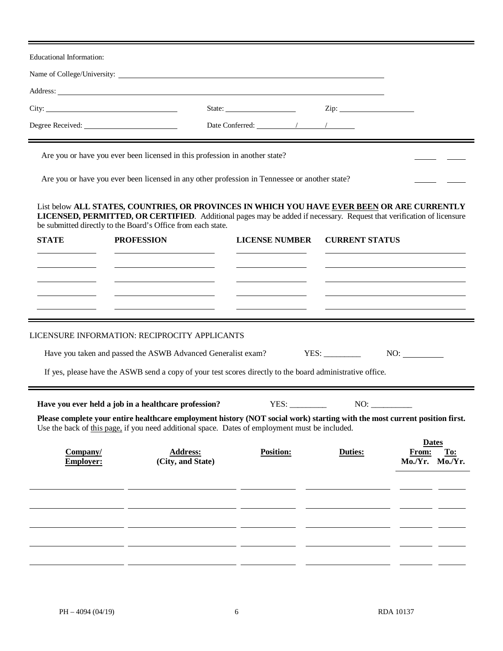Educational Information: Name of College/University: Address: City: State: Zip: Degree Received: Degree Received: Date Conferred:  $\sqrt{2}$ Are you or have you ever been licensed in this profession in another state? Are you or have you ever been licensed in any other profession in Tennessee or another state? List below **ALL STATES, COUNTRIES, OR PROVINCES IN WHICH YOU HAVE EVER BEEN OR ARE CURRENTLY LICENSED, PERMITTED, OR CERTIFIED**. Additional pages may be added if necessary. Request that verification of licensure be submitted directly to the Board's Office from each state. **STATE PROFESSION LICENSE NUMBER CURRENT STATUS** LICENSURE INFORMATION: RECIPROCITY APPLICANTS Have you taken and passed the ASWB Advanced Generalist exam? YES: \_\_\_\_\_\_\_\_\_\_\_ NO: \_\_\_\_\_\_\_\_ If yes, please have the ASWB send a copy of your test scores directly to the board administrative office. **Have you ever held a job in a healthcare profession?** YES: \_\_\_\_\_\_\_\_\_ NO: \_\_\_\_\_\_\_\_\_\_ **Please complete your entire healthcare employment history (NOT social work) starting with the most current position first.** Use the back of this page, if you need additional space. Dates of employment must be included. **Dates Company/ Address: Position: Duties: From: To: Employer: (City, and State) Mo./Yr. Mo./Yr.**  $\overline{\phantom{a}}$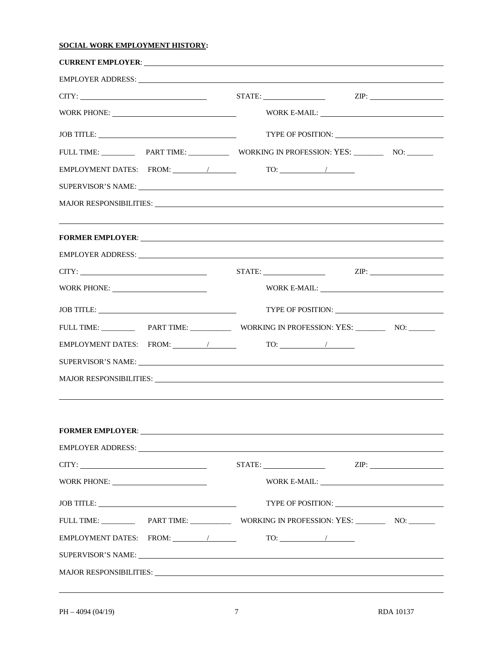#### **SOCIAL WORK EMPLOYMENT HISTORY:**

| CITY:                                                                                                                                                                                                                          |                                                                                                                                                                                                                                                                                                                                                                                                                                                                                                                                                        |
|--------------------------------------------------------------------------------------------------------------------------------------------------------------------------------------------------------------------------------|--------------------------------------------------------------------------------------------------------------------------------------------------------------------------------------------------------------------------------------------------------------------------------------------------------------------------------------------------------------------------------------------------------------------------------------------------------------------------------------------------------------------------------------------------------|
|                                                                                                                                                                                                                                | $\text{WORK E-MAIL:}\n \underline{\hspace{2cm}}\n \underline{\hspace{2cm}}\n \underline{\hspace{2cm}}\n \underline{\hspace{2cm}}\n \underline{\hspace{2cm}}\n \underline{\hspace{2cm}}\n \underline{\hspace{2cm}}\n \underline{\hspace{2cm}}\n \underline{\hspace{2cm}}\n \underline{\hspace{2cm}}\n \underline{\hspace{2cm}}\n \underline{\hspace{2cm}}\n \underline{\hspace{2cm}}\n \underline{\hspace{2cm}}\n \underline{\hspace{2cm}}\n \underline{\hspace{2cm}}\n \underline{\hspace{2cm}}\n \underline{\hspace{2cm}}\n \underline{\hspace{2cm}}$ |
|                                                                                                                                                                                                                                |                                                                                                                                                                                                                                                                                                                                                                                                                                                                                                                                                        |
|                                                                                                                                                                                                                                |                                                                                                                                                                                                                                                                                                                                                                                                                                                                                                                                                        |
|                                                                                                                                                                                                                                | $\begin{picture}(150,10) \put(0,0){\line(1,0){10}} \put(15,0){\line(1,0){10}} \put(15,0){\line(1,0){10}} \put(15,0){\line(1,0){10}} \put(15,0){\line(1,0){10}} \put(15,0){\line(1,0){10}} \put(15,0){\line(1,0){10}} \put(15,0){\line(1,0){10}} \put(15,0){\line(1,0){10}} \put(15,0){\line(1,0){10}} \put(15,0){\line(1,0){10}} \put(15,0){\line($                                                                                                                                                                                                    |
| SUPERVISOR'S NAME:                                                                                                                                                                                                             |                                                                                                                                                                                                                                                                                                                                                                                                                                                                                                                                                        |
| MAJOR RESPONSIBILITIES: Latin Contract Contract Contract Contract Contract Contract Contract Contract Contract Contract Contract Contract Contract Contract Contract Contract Contract Contract Contract Contract Contract Con |                                                                                                                                                                                                                                                                                                                                                                                                                                                                                                                                                        |
|                                                                                                                                                                                                                                |                                                                                                                                                                                                                                                                                                                                                                                                                                                                                                                                                        |
|                                                                                                                                                                                                                                |                                                                                                                                                                                                                                                                                                                                                                                                                                                                                                                                                        |
| CITY:                                                                                                                                                                                                                          | $STATE:$ $ZIP:$                                                                                                                                                                                                                                                                                                                                                                                                                                                                                                                                        |
|                                                                                                                                                                                                                                |                                                                                                                                                                                                                                                                                                                                                                                                                                                                                                                                                        |
| $\text{JOB TITLE:}\n \underline{\hspace{2cm}}$                                                                                                                                                                                 |                                                                                                                                                                                                                                                                                                                                                                                                                                                                                                                                                        |
|                                                                                                                                                                                                                                |                                                                                                                                                                                                                                                                                                                                                                                                                                                                                                                                                        |
|                                                                                                                                                                                                                                |                                                                                                                                                                                                                                                                                                                                                                                                                                                                                                                                                        |
| SUPERVISOR'S NAME: University of the SUPERVISOR'S NAME:                                                                                                                                                                        |                                                                                                                                                                                                                                                                                                                                                                                                                                                                                                                                                        |
| MAJOR RESPONSIBILITIES: La Contra Contra Contra Contra Contra Contra Contra Contra Contra Contra Contra Contra Contra Contra Contra Contra Contra Contra Contra Contra Contra Contra Contra Contra Contra Contra Contra Contra |                                                                                                                                                                                                                                                                                                                                                                                                                                                                                                                                                        |
|                                                                                                                                                                                                                                |                                                                                                                                                                                                                                                                                                                                                                                                                                                                                                                                                        |
|                                                                                                                                                                                                                                |                                                                                                                                                                                                                                                                                                                                                                                                                                                                                                                                                        |
| EMPLOYER ADDRESS: Universe of the set of the set of the set of the set of the set of the set of the set of the set of the set of the set of the set of the set of the set of the set of the set of the set of the set of the s |                                                                                                                                                                                                                                                                                                                                                                                                                                                                                                                                                        |
| CITY:                                                                                                                                                                                                                          |                                                                                                                                                                                                                                                                                                                                                                                                                                                                                                                                                        |
|                                                                                                                                                                                                                                |                                                                                                                                                                                                                                                                                                                                                                                                                                                                                                                                                        |
|                                                                                                                                                                                                                                |                                                                                                                                                                                                                                                                                                                                                                                                                                                                                                                                                        |
|                                                                                                                                                                                                                                |                                                                                                                                                                                                                                                                                                                                                                                                                                                                                                                                                        |
|                                                                                                                                                                                                                                | $TO:$ $\qquad \qquad$                                                                                                                                                                                                                                                                                                                                                                                                                                                                                                                                  |
|                                                                                                                                                                                                                                |                                                                                                                                                                                                                                                                                                                                                                                                                                                                                                                                                        |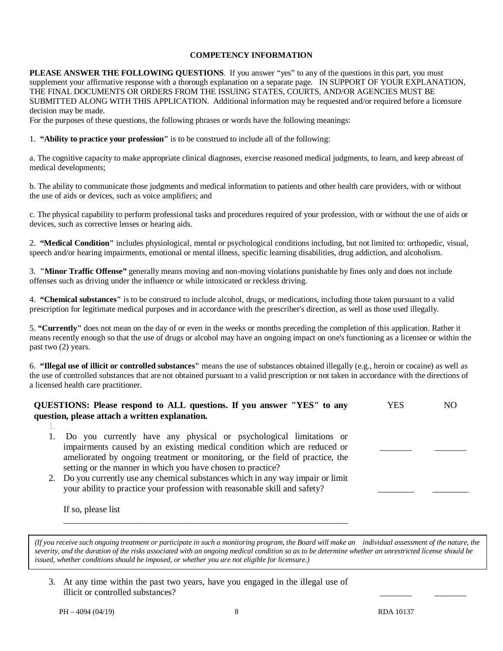#### **COMPETENCY INFORMATION**

**PLEASE ANSWER THE FOLLOWING QUESTIONS**. If you answer "yes" to any of the questions in this part, you must supplement your affirmative response with a thorough explanation on a separate page. IN SUPPORT OF YOUR EXPLANATION, THE FINAL DOCUMENTS OR ORDERS FROM THE ISSUING STATES, COURTS, AND/OR AGENCIES MUST BE SUBMITTED ALONG WITH THIS APPLICATION. Additional information may be requested and/or required before a licensure decision may be made.

For the purposes of these questions, the following phrases or words have the following meanings:

1. **"Ability to practice your profession"** is to be construed to include all of the following:

a. The cognitive capacity to make appropriate clinical diagnoses, exercise reasoned medical judgments, to learn, and keep abreast of medical developments;

b. The ability to communicate those judgments and medical information to patients and other health care providers, with or without the use of aids or devices, such as voice amplifiers; and

c. The physical capability to perform professional tasks and procedures required of your profession, with or without the use of aids or devices, such as corrective lenses or hearing aids.

2. **"Medical Condition"** includes physiological, mental or psychological conditions including, but not limited to: orthopedic, visual, speech and/or hearing impairments, emotional or mental illness, specific learning disabilities, drug addiction, and alcoholism.

3. **"Minor Traffic Offense"** generally means moving and non-moving violations punishable by fines only and does not include offenses such as driving under the influence or while intoxicated or reckless driving.

4. **"Chemical substances"** is to be construed to include alcohol, drugs, or medications, including those taken pursuant to a valid prescription for legitimate medical purposes and in accordance with the prescriber's direction, as well as those used illegally.

5. **"Currently"** does not mean on the day of or even in the weeks or months preceding the completion of this application. Rather it means recently enough so that the use of drugs or alcohol may have an ongoing impact on one's functioning as a licensee or within the past two (2) years.

6. **"Illegal use of illicit or controlled substances"** means the use of substances obtained illegally (e.g., heroin or cocaine) as well as the use of controlled substances that are not obtained pursuant to a valid prescription or not taken in accordance with the directions of a licensed health care practitioner.

| QUESTIONS: Please respond to ALL questions. If you answer "YES" to any<br>question, please attach a written explanation.                                                                                                                                                                       | YES | NΟ |
|------------------------------------------------------------------------------------------------------------------------------------------------------------------------------------------------------------------------------------------------------------------------------------------------|-----|----|
|                                                                                                                                                                                                                                                                                                |     |    |
| Do you currently have any physical or psychological limitations or<br>impairments caused by an existing medical condition which are reduced or<br>ameliorated by ongoing treatment or monitoring, or the field of practice, the<br>setting or the manner in which you have chosen to practice? |     |    |
| Do you currently use any chemical substances which in any way impair or limit<br>your ability to practice your profession with reasonable skill and safety?<br>If so, please list                                                                                                              |     |    |

(If you receive such ongoing treatment or participate in such a monitoring program, the Board will make an individual assessment of the nature, the severity, and the duration of the risks associated with an ongoing medical condition so as to be determine whether an unrestricted license should be *duration of the risks associated with an ongoing medical condition so as to be determine issued, whether conditions should be imposed, or whether you are not eligible for licensure.)*

3. At any time within the past two years, have you engaged in the illegal use of illicit or controlled substances? \_\_\_\_\_\_\_ \_\_\_\_\_\_\_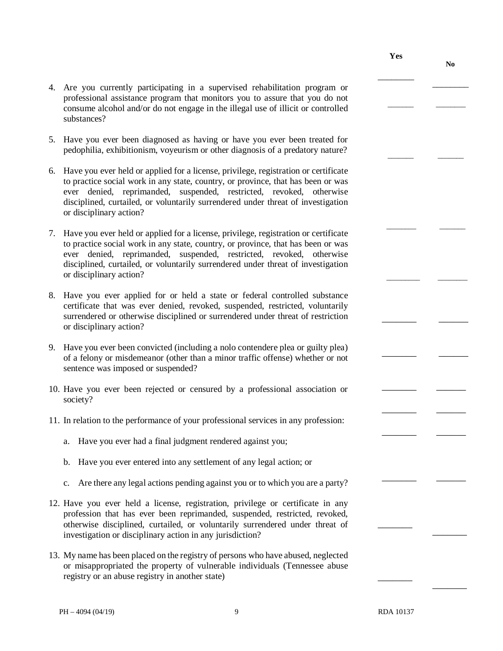- 4. Are you currently participating in a supervised rehabilitation program or professional assistance program that monitors you to assure that you do not consume alcohol and/or do not engage in the illegal use of illicit or controlled substances?
- 5. Have you ever been diagnosed as having or have you ever been treated for pedophilia, exhibitionism, voyeurism or other diagnosis of a predatory nature?
- 6. Have you ever held or applied for a license, privilege, registration or certificate to practice social work in any state, country, or province, that has been or was ever denied, reprimanded, suspended, restricted, revoked, otherwise disciplined, curtailed, or voluntarily surrendered under threat of investigation or disciplinary action?
- 7. Have you ever held or applied for a license, privilege, registration or certificate to practice social work in any state, country, or province, that has been or was ever denied, reprimanded, suspended, restricted, revoked, otherwise disciplined, curtailed, or voluntarily surrendered under threat of investigation or disciplinary action?
- 8. Have you ever applied for or held a state or federal controlled substance certificate that was ever denied, revoked, suspended, restricted, voluntarily surrendered or otherwise disciplined or surrendered under threat of restriction or disciplinary action?
- 9. Have you ever been convicted (including a nolo contendere plea or guilty plea) of a felony or misdemeanor (other than a minor traffic offense) whether or not sentence was imposed or suspended?
- 10. Have you ever been rejected or censured by a professional association or society?
- 11. In relation to the performance of your professional services in any profession:
	- a. Have you ever had a final judgment rendered against you;
	- b. Have you ever entered into any settlement of any legal action; or
	- c. Are there any legal actions pending against you or to which you are a party?
- 12. Have you ever held a license, registration, privilege or certificate in any profession that has ever been reprimanded, suspended, restricted, revoked, otherwise disciplined, curtailed, or voluntarily surrendered under threat of investigation or disciplinary action in any jurisdiction?
- 13. My name has been placed on the registry of persons who have abused, neglected or misappropriated the property of vulnerable individuals (Tennessee abuse registry or an abuse registry in another state)

 $\overline{\phantom{a}}$ 

 $\overline{\phantom{a}}$ 

 $\overline{\phantom{a}}$ 

\_\_\_\_\_\_\_

\_\_\_\_\_\_\_ \_\_\_\_\_\_\_\_

**No**

 $\overline{\phantom{a}}$ 

 $\overline{\phantom{a}}$ 

 $\overline{\phantom{a}}$ 

\_\_\_\_\_\_\_\_

**Yes**

\_\_\_\_\_\_\_\_

 $\overline{\phantom{a}}$ 

 $\overline{\phantom{a}}$ 

 $\overline{\phantom{a}}$ 

\_\_\_\_\_\_\_ \_\_\_\_\_\_

\_\_\_\_\_\_\_ \_\_\_\_\_\_

\_\_\_\_\_\_\_ \_\_\_\_\_\_

\_\_\_\_\_\_\_ \_\_\_\_\_\_

\_\_\_\_\_\_\_ \_\_\_\_\_\_

\_\_\_\_\_\_\_ \_\_\_\_\_\_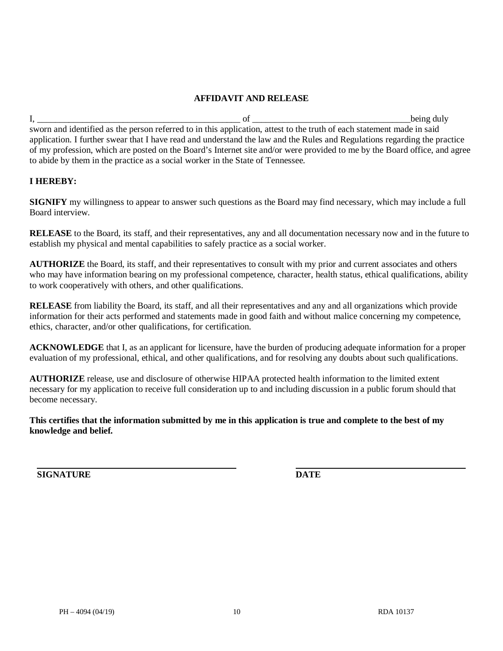### **AFFIDAVIT AND RELEASE**

I, \_\_\_\_\_\_\_\_\_\_\_\_\_\_\_\_\_\_\_\_\_\_\_\_\_\_\_\_\_\_\_\_\_\_\_\_\_\_\_\_\_\_\_\_\_ of \_\_\_\_\_\_\_\_\_\_\_\_\_\_\_\_\_\_\_\_\_\_\_\_\_\_\_\_\_\_\_\_\_\_\_being duly sworn and identified as the person referred to in this application, attest to the truth of each statement made in said application. I further swear that I have read and understand the law and the Rules and Regulations regarding the practice of my profession, which are posted on the Board's Internet site and/or were provided to me by the Board office, and agree to abide by them in the practice as a social worker in the State of Tennessee.

## **I HEREBY:**

**SIGNIFY** my willingness to appear to answer such questions as the Board may find necessary, which may include a full Board interview.

**RELEASE** to the Board, its staff, and their representatives, any and all documentation necessary now and in the future to establish my physical and mental capabilities to safely practice as a social worker.

**AUTHORIZE** the Board, its staff, and their representatives to consult with my prior and current associates and others who may have information bearing on my professional competence, character, health status, ethical qualifications, ability to work cooperatively with others, and other qualifications.

**RELEASE** from liability the Board, its staff, and all their representatives and any and all organizations which provide information for their acts performed and statements made in good faith and without malice concerning my competence, ethics, character, and/or other qualifications, for certification.

**ACKNOWLEDGE** that I, as an applicant for licensure, have the burden of producing adequate information for a proper evaluation of my professional, ethical, and other qualifications, and for resolving any doubts about such qualifications.

**AUTHORIZE** release, use and disclosure of otherwise HIPAA protected health information to the limited extent necessary for my application to receive full consideration up to and including discussion in a public forum should that become necessary.

**This certifies that the information submitted by me in this application is true and complete to the best of my knowledge and belief.** 

**SIGNATURE DATE**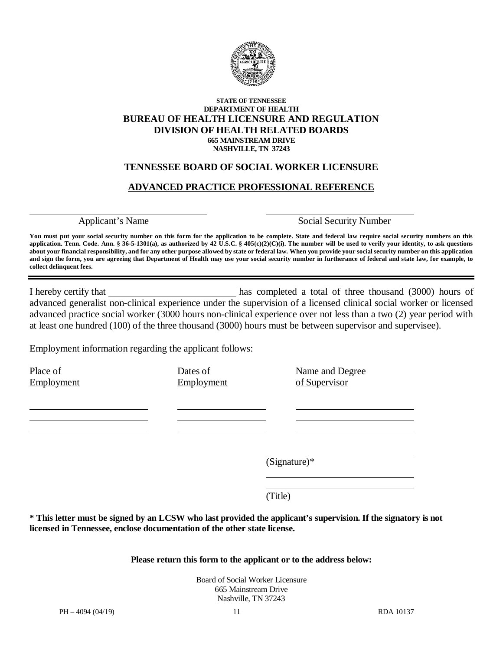

#### **STATE OF TENNESSEE DEPARTMENT OF HEALTH BUREAU OF HEALTH LICENSURE AND REGULATION DIVISION OF HEALTH RELATED BOARDS 665 MAINSTREAM DRIVE NASHVILLE, TN 37243**

## **TENNESSEE BOARD OF SOCIAL WORKER LICENSURE**

## **ADVANCED PRACTICE PROFESSIONAL REFERENCE**

Applicant's Name Social Security Number

You must put your social security number on this form for the application to be complete. State and federal law require social security numbers on this application. Tenn. Code. Ann. § 36-5-1301(a), as authorized by  $42 \text{ U.S.C.}$  §  $405(c)(2)(C)(i)$ . The number will be used to verify your identity, to ask questions **about your financial responsibility, and for any other purpose allowed by state or federal law. When you provide your social security number on this application and sign the form, you are agreeing that Department of Health may use your social security number in furtherance of federal and state law, for example, to collect delinquent fees.**

I hereby certify that has completed a total of three thousand (3000) hours of advanced generalist non-clinical experience under the supervision of a licensed clinical social worker or licensed advanced practice social worker (3000 hours non-clinical experience over not less than a two (2) year period with at least one hundred (100) of the three thousand (3000) hours must be between supervisor and supervisee).

Employment information regarding the applicant follows:

Place of Dates of Name and Degree Employment Employment **Employment** of Supervisor

(Signature)\*

(Title)

**\* This letter must be signed by an LCSW who last provided the applicant's supervision. If the signatory is not licensed in Tennessee, enclose documentation of the other state license.**

#### **Please return this form to the applicant or to the address below:**

Board of Social Worker Licensure 665 Mainstream Drive Nashville, TN 37243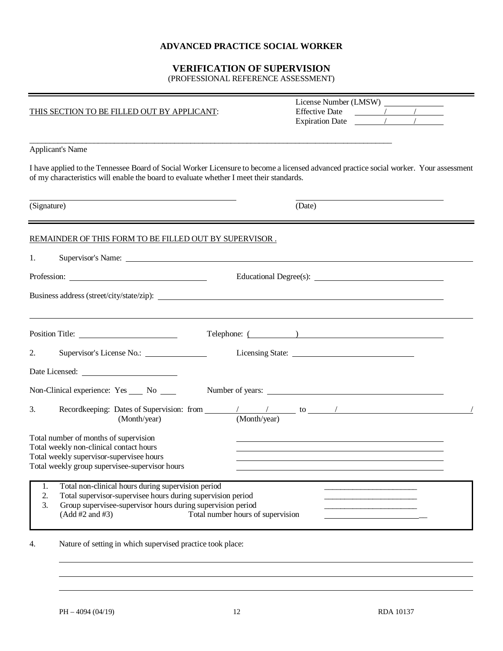### **ADVANCED PRACTICE SOCIAL WORKER**

### **VERIFICATION OF SUPERVISION**

(PROFESSIONAL REFERENCE ASSESSMENT)

| THIS SECTION TO BE FILLED OUT BY APPLICANT:                                                                                                                                                                                                                | License Number (LMSW) _____<br>Expiration Date $\frac{1}{\sqrt{1-\frac{1}{\sqrt{1-\frac{1}{\sqrt{1-\frac{1}{\sqrt{1-\frac{1}{\sqrt{1-\frac{1}{\sqrt{1-\frac{1}{\sqrt{1-\frac{1}{\sqrt{1-\frac{1}{\sqrt{1-\frac{1}{\sqrt{1-\frac{1}{\sqrt{1-\frac{1}{\sqrt{1-\frac{1}{\sqrt{1-\frac{1}{\sqrt{1-\frac{1}{\sqrt{1-\frac{1}{\sqrt{1-\frac{1}{\sqrt{1-\frac{1}{\sqrt{1-\frac{1}{\sqrt{1-\frac{1}{\sqrt{1-\frac{1}{\sqrt{1-\frac{1}{\sqrt{1-\frac{1}{\$ |
|------------------------------------------------------------------------------------------------------------------------------------------------------------------------------------------------------------------------------------------------------------|---------------------------------------------------------------------------------------------------------------------------------------------------------------------------------------------------------------------------------------------------------------------------------------------------------------------------------------------------------------------------------------------------------------------------------------------------|
| <u> 1989 - Johann Stoff, deutscher Stoff, der Stoff, der Stoff, der Stoff, der Stoff, der Stoff, der Stoff, der S</u><br><b>Applicant's Name</b>                                                                                                           |                                                                                                                                                                                                                                                                                                                                                                                                                                                   |
| of my characteristics will enable the board to evaluate whether I meet their standards.                                                                                                                                                                    | I have applied to the Tennessee Board of Social Worker Licensure to become a licensed advanced practice social worker. Your assessment                                                                                                                                                                                                                                                                                                            |
| <u> 1989 - Johann Barn, amerikansk politiker (d. 1989)</u><br>(Signature)                                                                                                                                                                                  | (Date)                                                                                                                                                                                                                                                                                                                                                                                                                                            |
| REMAINDER OF THIS FORM TO BE FILLED OUT BY SUPERVISOR.                                                                                                                                                                                                     |                                                                                                                                                                                                                                                                                                                                                                                                                                                   |
| 1.                                                                                                                                                                                                                                                         |                                                                                                                                                                                                                                                                                                                                                                                                                                                   |
|                                                                                                                                                                                                                                                            | Educational Degree(s):                                                                                                                                                                                                                                                                                                                                                                                                                            |
|                                                                                                                                                                                                                                                            |                                                                                                                                                                                                                                                                                                                                                                                                                                                   |
|                                                                                                                                                                                                                                                            | Telephone: ( )                                                                                                                                                                                                                                                                                                                                                                                                                                    |
| 2.                                                                                                                                                                                                                                                         |                                                                                                                                                                                                                                                                                                                                                                                                                                                   |
|                                                                                                                                                                                                                                                            |                                                                                                                                                                                                                                                                                                                                                                                                                                                   |
| Non-Clinical experience: Yes ____ No ____                                                                                                                                                                                                                  | Number of years:                                                                                                                                                                                                                                                                                                                                                                                                                                  |
| 3.                                                                                                                                                                                                                                                         |                                                                                                                                                                                                                                                                                                                                                                                                                                                   |
| Total number of months of supervision<br>Total weekly non-clinical contact hours<br>Total weekly supervisor-supervisee hours<br>Total weekly group supervisee-supervisor hours                                                                             | <u> 1989 - Johann Barn, amerikansk politiker (d. 1989)</u>                                                                                                                                                                                                                                                                                                                                                                                        |
| Total non-clinical hours during supervision period<br>1.<br>Total supervisor-supervisee hours during supervision period<br>2.<br>Group supervisee-supervisor hours during supervision period<br>3.<br>(Add #2 and #3)<br>Total number hours of supervision |                                                                                                                                                                                                                                                                                                                                                                                                                                                   |

4. Nature of setting in which supervised practice took place: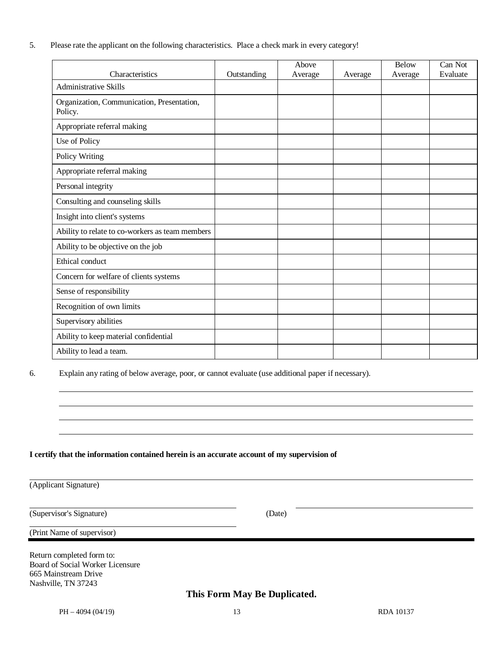5. Please rate the applicant on the following characteristics. Place a check mark in every category!

|                                                       |             | Above   |         | <b>Below</b> | Can Not  |
|-------------------------------------------------------|-------------|---------|---------|--------------|----------|
| Characteristics                                       | Outstanding | Average | Average | Average      | Evaluate |
| <b>Administrative Skills</b>                          |             |         |         |              |          |
| Organization, Communication, Presentation,<br>Policy. |             |         |         |              |          |
| Appropriate referral making                           |             |         |         |              |          |
| Use of Policy                                         |             |         |         |              |          |
| Policy Writing                                        |             |         |         |              |          |
| Appropriate referral making                           |             |         |         |              |          |
| Personal integrity                                    |             |         |         |              |          |
| Consulting and counseling skills                      |             |         |         |              |          |
| Insight into client's systems                         |             |         |         |              |          |
| Ability to relate to co-workers as team members       |             |         |         |              |          |
| Ability to be objective on the job                    |             |         |         |              |          |
| Ethical conduct                                       |             |         |         |              |          |
| Concern for welfare of clients systems                |             |         |         |              |          |
| Sense of responsibility                               |             |         |         |              |          |
| Recognition of own limits                             |             |         |         |              |          |
| Supervisory abilities                                 |             |         |         |              |          |
| Ability to keep material confidential                 |             |         |         |              |          |
| Ability to lead a team.                               |             |         |         |              |          |

6. Explain any rating of below average, poor, or cannot evaluate (use additional paper if necessary).

#### **I certify that the information contained herein is an accurate account of my supervision of**

(Applicant Signature)

(Supervisor's Signature) (Date)

(Print Name of supervisor)

Return completed form to: Board of Social Worker Licensure 665 Mainstream Drive Nashville, TN 37243

**This Form May Be Duplicated.**